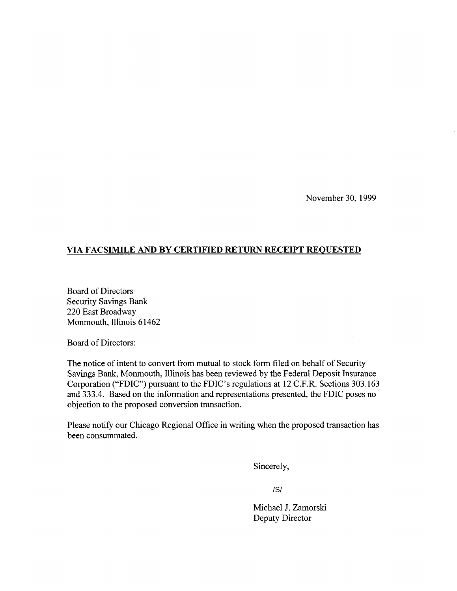November 30, 1999

## **VIA FACSIMILE AND BY CERTIFIED RETURN RECEIPT REQUESTED**

Board of Directors Security Savings Bank 220 East Broadway Monmouth, Illinois 61462

Board of Directors:

The notice of intent to convert from mutual to stock form filed on behalf of Security Savings Bank, Monmouth, Illinois has been reviewed by the Federal Deposit Insurance Corporation ("FDIC") pursuant to the FDIC's regulations at 12 C.F.R. Sections 303.163 and 333.4. Based on the information and representations presented, the FDIC poses no objection to the proposed conversion transaction.

Please notify our Chicago Regional Office in writing when the proposed transaction has been consummated.

Sincerely,

/S/

Michael J. Zamorski Deputy Director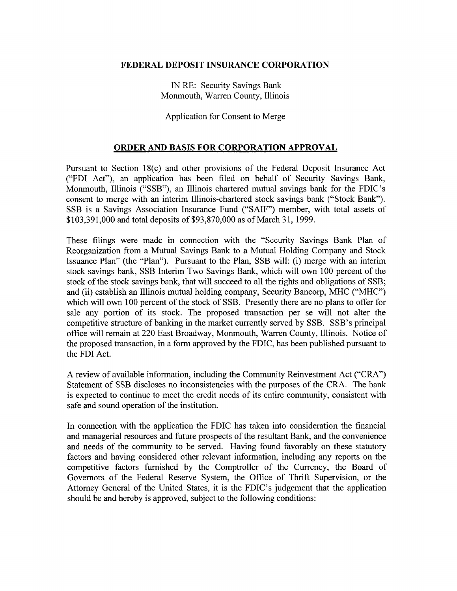## FEDERAL DEPOSIT INSURANCE CORPORATION

IN RE: Security Savings Bank Monmouth, Warren County, Illinois

Application for Consent to Merge

## ORDER AND BASIS FOR CORPORATION APPROVAL

Pursuant to Section 18(c) and other provisions of the Federal Deposit Insurance Act ("FDI Act"), an application has been filed on behalf of Security Savings Bank, Monmouth, Illinois ("SSB"), an Illinois chartered mutual savings bank for the FDIC's consent to merge with an interim Illinois-chartered stock savings bank ("Stock Bank"). SSB is a Savings Association Insurance Fund ("SAIF") member, with total assets of \$103,391,000 and total deposits of \$93,870,000 as of March 31, 1999.

These filings were made in connection with the "Security Savings Bank Plan of Reorganization from a Mutual Savings Bank to a Mutual Holding Company and Stock Issuance Plan" (the "Plan"). Pursuant to the Plan, SSB will: (i) merge with an interim stock savings bank, SSB Interim Two Savings Bank, which will own 100 percent of the stock of the stock savings bank, that will succeed to all the rights and obligations of SSB; and (ii) establish an Illinois mutual holding company, Security Bancorp, MHC ("MHC") which will own 100 percent of the stock of SSB. Presently there are no plans to offer for sale any portion of its stock. The proposed transaction per se will not alter the competitive structure of banking in the market currently served by SSB. SSB's principal office will remain at 220 East Broadway, Monmouth, Warren County, Illinois. Notice of the proposed transaction, in a form approved by the FDIC, has been published pursuant to the FDI Act.

A review of available information, including the Community Reinvestment Act ("CRA") Statement of SSB discloses no inconsistencies with the purposes of the CRA. The bank is expected to continue to meet the credit needs of its entire community, consistent with safe and sound operation of the institution.

In connection with the application the FDIC has taken into consideration the financial and managerial resources and future prospects of the resultant Bank, and the convenience and needs of the community to be served. Having found favorably on these statutory factors and having considered other relevant information, including any reports on the competitive factors furnished by the Comptroller of the Currency, the Board of Governors of the Federal Reserve System, the Office of Thrift Supervision, or the Attorney General of the United States, it is the FDIC's judgement that the application should be and hereby is approved, subject to the following conditions: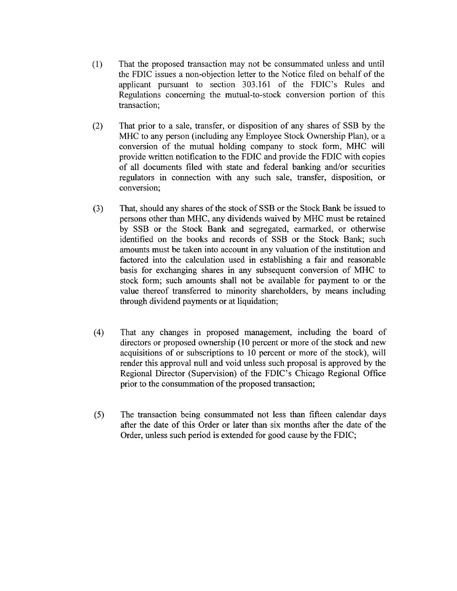- ( 1) That the proposed transaction may not be consummated unless and until the FDIC issues a non-objection letter to the Notice filed on behalf of the applicant pursuant to section 303.161 of the FDIC's Rules and Regulations concerning the mutual-to-stock conversion portion of this transaction;
- (2) That prior to a sale, transfer, or disposition of any shares of SSB by the MHC to any person (including any Employee Stock Ownership Plan), or a conversion of the mutual holding company to stock form, MHC will provide written notification to the FDIC and provide the FDIC with copies of all documents filed with state and federal banking and/or securities regulators in connection with any such sale, transfer, disposition, or conversion;
- (3) That, should any shares of the stock of SSB or the Stock Bank be issued to persons other than MHC, any dividends waived by MHC must be retained by SSB or the Stock Bank and segregated, earmarked, or otherwise identified on the books and records of SSB or the Stock Bank; such amounts must be taken into account in any valuation of the institution and factored into the calculation used in establishing a fair and reasonable basis for exchanging shares in any subsequent conversion of MHC to stock form; such amounts shall not be available for payment to or the value thereof transferred to minority shareholders, by means including through dividend payments or at liquidation;
- (4) That any changes in proposed management, including the board of directors or proposed ownership (10 percent or more of the stock and new acquisitions of or subscriptions to 10 percent or more of the stock), will render this approval null and void unless such proposal is approved by the Regional Director (Supervision) of the FDIC's Chicago Regional Office prior to the consummation of the proposed transaction;
- (5) The transaction being consummated not less than fifteen calendar days after the date of this Order or later than six months after the date of the Order, unless such period is extended for good cause by the FDIC;